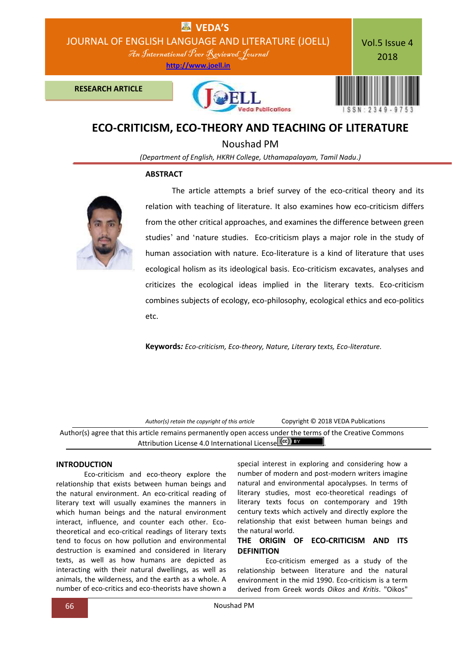

# **ECO-CRITICISM, ECO-THEORY AND TEACHING OF LITERATURE**

Noushad PM

*(Department of English, HKRH College, Uthamapalayam, Tamil Nadu.)*

#### **ABSTRACT**



 The article attempts a brief survey of the eco-critical theory and its relation with teaching of literature. It also examines how eco-criticism differs from the other critical approaches, and examines the difference between green studies' and 'nature studies. Eco-criticism plays a major role in the study of human association with nature. Eco-literature is a kind of literature that uses ecological holism as its ideological basis. Eco-criticism excavates, analyses and criticizes the ecological ideas implied in the literary texts. Eco-criticism combines subjects of ecology, eco-philosophy, ecological ethics and eco-politics etc.

**Keywords***: Eco-criticism, Eco-theory, Nature, Literary texts, Eco-literature.*

*Author(s) retain the copyright of this article* Copyright © 2018 VEDA Publications

Author(s) agree that this article remains permanently open access under the terms of the Creative Commons Attribution License 4.0 International License cc) EX

# **INTRODUCTION**

Eco-criticism and eco-theory explore the relationship that exists between human beings and the natural environment. An eco-critical reading of literary text will usually examines the manners in which human beings and the natural environment interact, influence, and counter each other. Ecotheoretical and eco-critical readings of literary texts tend to focus on how pollution and environmental destruction is examined and considered in literary texts, as well as how humans are depicted as interacting with their natural dwellings, as well as animals, the wilderness, and the earth as a whole. A number of eco-critics and eco-theorists have shown a

special interest in exploring and considering how a number of modern and post-modern writers imagine natural and environmental apocalypses. In terms of literary studies, most eco-theoretical readings of literary texts focus on contemporary and 19th century texts which actively and directly explore the relationship that exist between human beings and the natural world.

# **THE ORIGIN OF ECO-CRITICISM AND ITS DEFINITION**

Eco-criticism emerged as a study of the relationship between literature and the natural environment in the mid 1990. Eco-criticism is a term derived from Greek words *Oikos* and *Kritis*. "Oikos"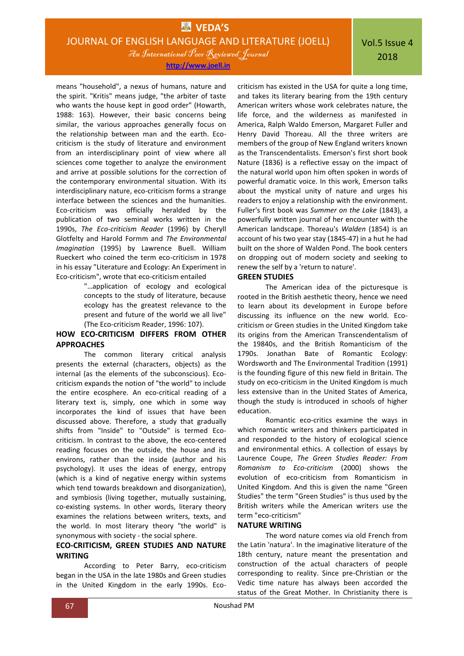**[http://www.joell.in](http://www.joell.in/)**

means "household", a nexus of humans, nature and the spirit. "Kritis" means judge, "the arbiter of taste who wants the house kept in good order" (Howarth, 1988: 163). However, their basic concerns being similar, the various approaches generally focus on the relationship between man and the earth. Ecocriticism is the study of literature and environment from an interdisciplinary point of view where all sciences come together to analyze the environment and arrive at possible solutions for the correction of the contemporary environmental situation. With its interdisciplinary nature, eco-criticism forms a strange interface between the sciences and the humanities. Eco-criticism was officially heralded by the publication of two seminal works written in the 1990s, *The Eco-criticism Reader* (1996) by Cheryll Glotfelty and Harold Formm and *The Environmental Imagination* (1995) by Lawrence Buell. William Rueckert who coined the term eco-criticism in 1978 in his essay "Literature and Ecology: An Experiment in Eco-criticism", wrote that eco-criticism entailed

"…application of ecology and ecological concepts to the study of literature, because ecology has the greatest relevance to the present and future of the world we all live" (The Eco-criticism Reader, 1996: 107).

# **HOW ECO-CRITICISM DIFFERS FROM OTHER APPROACHES**

The common literary critical analysis presents the external (characters, objects) as the internal (as the elements of the subconscious). Ecocriticism expands the notion of "the world" to include the entire ecosphere. An eco-critical reading of a literary text is, simply, one which in some way incorporates the kind of issues that have been discussed above. Therefore, a study that gradually shifts from "Inside" to "Outside" is termed Ecocriticism. In contrast to the above, the eco-centered reading focuses on the outside, the house and its environs, rather than the inside (author and his psychology). It uses the ideas of energy, entropy (which is a kind of negative energy within systems which tend towards breakdown and disorganization), and symbiosis (living together, mutually sustaining, co-existing systems. In other words, literary theory examines the relations between writers, texts, and the world. In most literary theory "the world" is synonymous with society - the social sphere.

# **ECO-CRITICISM, GREEN STUDIES AND NATURE WRITING**

According to Peter Barry, eco-criticism began in the USA in the late 1980s and Green studies in the United Kingdom in the early 1990s. Ecocriticism has existed in the USA for quite a long time, and takes its literary bearing from the 19th century American writers whose work celebrates nature, the life force, and the wilderness as manifested in America, Ralph Waldo Emerson, Margaret Fuller and Henry David Thoreau. All the three writers are members of the group of New England writers known as the Transcendentalists. Emerson's first short book Nature (1836) is a reflective essay on the impact of the natural world upon him often spoken in words of powerful dramatic voice. In this work, Emerson talks about the mystical unity of nature and urges his readers to enjoy a relationship with the environment. Fuller's first book was *Summer on the Lake* (1843), a powerfully written journal of her encounter with the American landscape. Thoreau's *Walden* (1854) is an account of his two year stay (1845-47) in a hut he had built on the shore of Walden Pond. The book centers on dropping out of modern society and seeking to renew the self by a 'return to nature'.

# **GREEN STUDIES**

The American idea of the picturesque is rooted in the British aesthetic theory, hence we need to learn about its development in Europe before discussing its influence on the new world. Ecocriticism or Green studies in the United Kingdom take its origins from the American Transcendentalism of the 19840s, and the British Romanticism of the 1790s. Jonathan Bate of Romantic Ecology: Wordsworth and The Environmental Tradition (1991) is the founding figure of this new field in Britain. The study on eco-criticism in the United Kingdom is much less extensive than in the United States of America, though the study is introduced in schools of higher education.

Romantic eco-critics examine the ways in which romantic writers and thinkers participated in and responded to the history of ecological science and environmental ethics. A collection of essays by Laurence Coupe, *The Green Studies Reader: From Romanism to Eco-criticism* (2000) shows the evolution of eco-criticism from Romanticism in United Kingdom. And this is given the name "Green Studies" the term "Green Studies" is thus used by the British writers while the American writers use the term "eco-criticism"

#### **NATURE WRITING**

The word nature comes via old French from the Latin 'natura'. In the imaginative literature of the 18th century, nature meant the presentation and construction of the actual characters of people corresponding to reality. Since pre-Christian or the Vedic time nature has always been accorded the status of the Great Mother. In Christianity there is